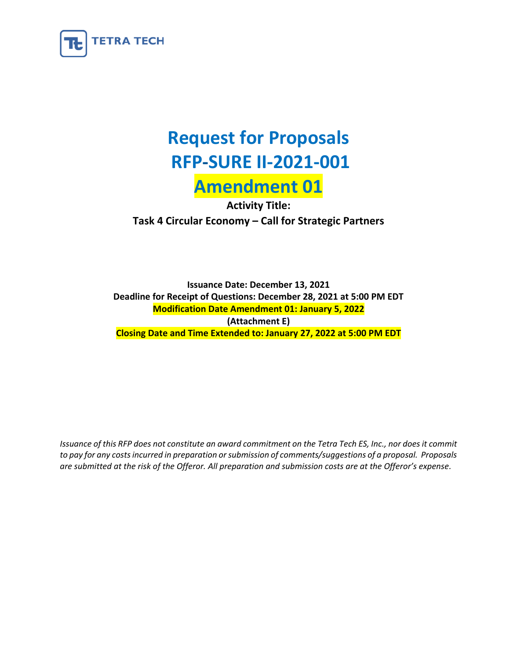

# **Request for Proposals RFP-SURE II-2021-001 Amendment 01**

**Activity Title: Task 4 Circular Economy – Call for Strategic Partners**

**Issuance Date: December 13, 2021 Deadline for Receipt of Questions: December 28, 2021 at 5:00 PM EDT Modification Date Amendment 01: January 5, 2022 (Attachment E) Closing Date and Time Extended to: January 27, 2022 at 5:00 PM EDT** 

*Issuance of this RFP does not constitute an award commitment on the Tetra Tech ES, Inc., nor does it commit to pay for any costs incurred in preparation or submission of comments/suggestions of a proposal. Proposals are submitted at the risk of the Offeror. All preparation and submission costs are at the Offeror's expense.*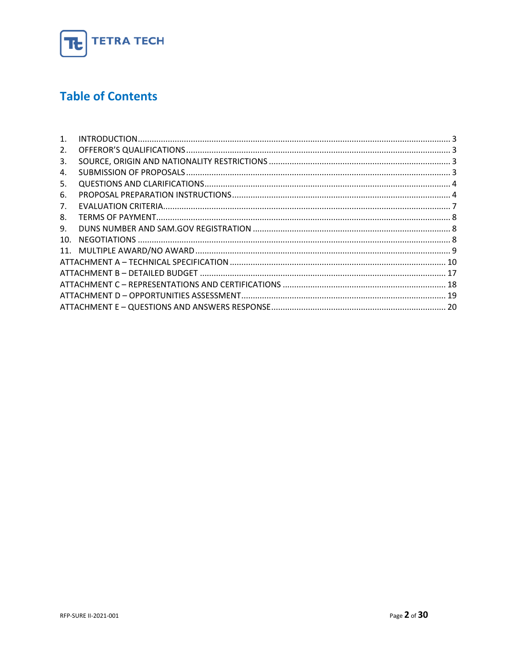

# **Table of Contents**

| 1.  |  |
|-----|--|
| 2.  |  |
| 3.  |  |
| 4.  |  |
| 5.  |  |
| 6.  |  |
| 7.  |  |
| 8.  |  |
| 9.  |  |
| 10. |  |
|     |  |
|     |  |
|     |  |
|     |  |
|     |  |
|     |  |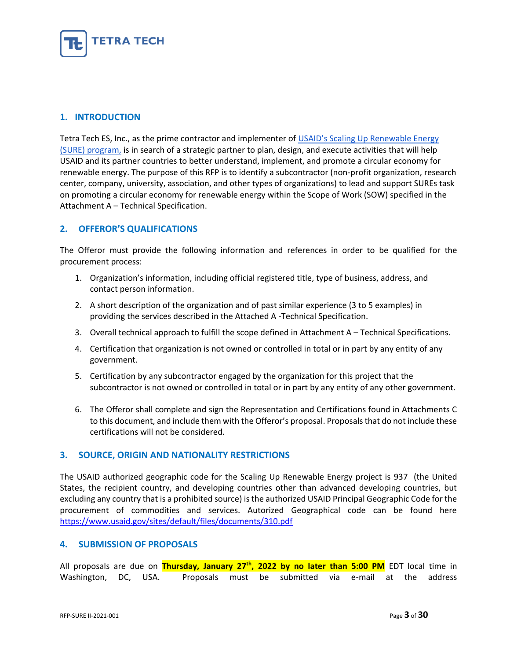

# <span id="page-2-0"></span>**1. INTRODUCTION**

Tetra Tech ES, Inc., as the prime contractor and implementer of [USAID's Scaling Up Renewable Energy](https://www.usaid.gov/energy/sure)  [\(SURE\) program,](https://www.usaid.gov/energy/sure) is in search of a strategic partner to plan, design, and execute activities that will help USAID and its partner countries to better understand, implement, and promote a circular economy for renewable energy. The purpose of this RFP is to identify a subcontractor (non-profit organization, research center, company, university, association, and other types of organizations) to lead and support SUREs task on promoting a circular economy for renewable energy within the Scope of Work (SOW) specified in the Attachment A – Technical Specification.

# <span id="page-2-1"></span>**2. OFFEROR'S QUALIFICATIONS**

The Offeror must provide the following information and references in order to be qualified for the procurement process:

- 1. Organization's information, including official registered title, type of business, address, and contact person information.
- 2. A short description of the organization and of past similar experience (3 to 5 examples) in providing the services described in the Attached A -Technical Specification.
- 3. Overall technical approach to fulfill the scope defined in Attachment A Technical Specifications.
- 4. Certification that organization is not owned or controlled in total or in part by any entity of any government.
- 5. Certification by any subcontractor engaged by the organization for this project that the subcontractor is not owned or controlled in total or in part by any entity of any other government.
- 6. The Offeror shall complete and sign the Representation and Certifications found in Attachments C to this document, and include them with the Offeror's proposal. Proposals that do not include these certifications will not be considered.

# <span id="page-2-2"></span>**3. SOURCE, ORIGIN AND NATIONALITY RESTRICTIONS**

The USAID authorized geographic code for the Scaling Up Renewable Energy project is 937 (the United States, the recipient country, and developing countries other than advanced developing countries, but excluding any country that is a prohibited source) is the authorized USAID Principal Geographic Code for the procurement of commodities and services. Autorized Geographical code can be found here <https://www.usaid.gov/sites/default/files/documents/310.pdf>

# <span id="page-2-3"></span>**4. SUBMISSION OF PROPOSALS**

All proposals are due on **Thursday, January 27th, 2022 by no later than 5:00 PM** EDT local time in Washington, DC, USA. Proposals must be submitted via e-mail at the address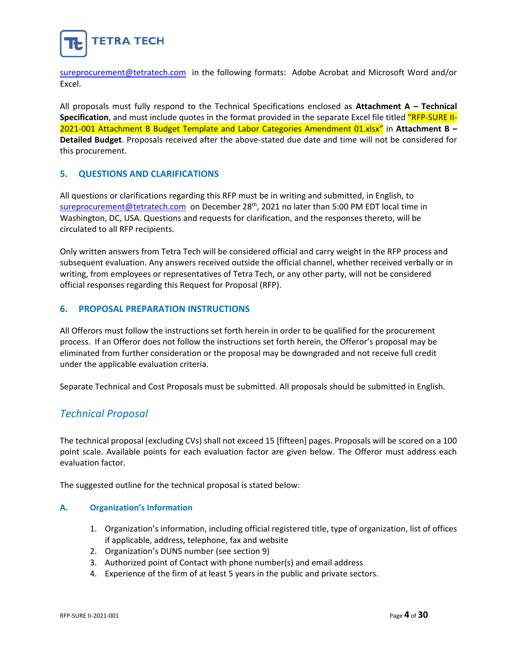

[sureprocurement@tetratech.com](mailto:sureprocurement@tetratech.com) in the following formats: Adobe Acrobat and Microsoft Word and/or Excel.

All proposals must fully respond to the Technical Specifications enclosed as **Attachment A – Technical Specification**, and must include quotes in the format provided in the separate Excel file titled "RFP-SURE II-2021-001 Attachment B Budget Template and Labor Categories Amendment 01.xlsx" in **Attachment B – Detailed Budget**. Proposals received after the above-stated due date and time will not be considered for this procurement.

# <span id="page-3-0"></span>**5. QUESTIONS AND CLARIFICATIONS**

All questions or clarifications regarding this RFP must be in writing and submitted, in English, to [sureprocurement@tetratech.com](mailto:sureprocurement@tetratech.com) on December 28<sup>th</sup>, 2021 no later than 5:00 PM EDT local time in Washington, DC, USA. Questions and requests for clarification, and the responses thereto, will be circulated to all RFP recipients.

Only written answers from Tetra Tech will be considered official and carry weight in the RFP process and subsequent evaluation. Any answers received outside the official channel, whether received verbally or in writing, from employees or representatives of Tetra Tech, or any other party, will not be considered official responses regarding this Request for Proposal (RFP).

# <span id="page-3-1"></span>**6. PROPOSAL PREPARATION INSTRUCTIONS**

All Offerors must follow the instructions set forth herein in order to be qualified for the procurement process. If an Offeror does not follow the instructions set forth herein, the Offeror's proposal may be eliminated from further consideration or the proposal may be downgraded and not receive full credit under the applicable evaluation criteria.

Separate Technical and Cost Proposals must be submitted. All proposals should be submitted in English.

# *Technical Proposal*

The technical proposal (excluding CVs) shall not exceed 15 [fifteen] pages. Proposals will be scored on a 100 point scale. Available points for each evaluation factor are given below. The Offeror must address each evaluation factor.

The suggested outline for the technical proposal is stated below:

# **A. Organization's Information**

- 1. Organization's information, including official registered title, type of organization, list of offices if applicable, address, telephone, fax and website
- 2. Organization's DUNS number (see section 9)
- 3. Authorized point of Contact with phone number(s) and email address
- 4. Experience of the firm of at least 5 years in the public and private sectors.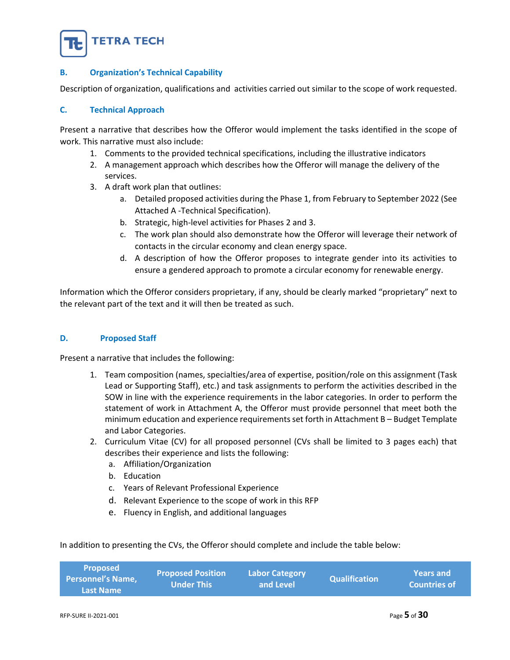

# **B. Organization's Technical Capability**

Description of organization, qualifications and activities carried out similar to the scope of work requested.

# **C. Technical Approach**

Present a narrative that describes how the Offeror would implement the tasks identified in the scope of work. This narrative must also include:

- 1. Comments to the provided technical specifications, including the illustrative indicators
- 2. A management approach which describes how the Offeror will manage the delivery of the services.
- 3. A draft work plan that outlines:
	- a. Detailed proposed activities during the Phase 1, from February to September 2022 (See Attached A -Technical Specification).
	- b. Strategic, high-level activities for Phases 2 and 3.
	- c. The work plan should also demonstrate how the Offeror will leverage their network of contacts in the circular economy and clean energy space.
	- d. A description of how the Offeror proposes to integrate gender into its activities to ensure a gendered approach to promote a circular economy for renewable energy.

Information which the Offeror considers proprietary, if any, should be clearly marked "proprietary" next to the relevant part of the text and it will then be treated as such.

# **D. Proposed Staff**

Present a narrative that includes the following:

- 1. Team composition (names, specialties/area of expertise, position/role on this assignment (Task Lead or Supporting Staff), etc.) and task assignments to perform the activities described in the SOW in line with the experience requirements in the labor categories. In order to perform the statement of work in Attachment A, the Offeror must provide personnel that meet both the minimum education and experience requirements set forth in Attachment B – Budget Template and Labor Categories.
- 2. Curriculum Vitae (CV) for all proposed personnel (CVs shall be limited to 3 pages each) that describes their experience and lists the following:
	- a. Affiliation/Organization
	- b. Education
	- c. Years of Relevant Professional Experience
	- d. Relevant Experience to the scope of work in this RFP
	- e. Fluency in English, and additional languages

In addition to presenting the CVs, the Offeror should complete and include the table below:

| <b>Last Name</b> |
|------------------|
|------------------|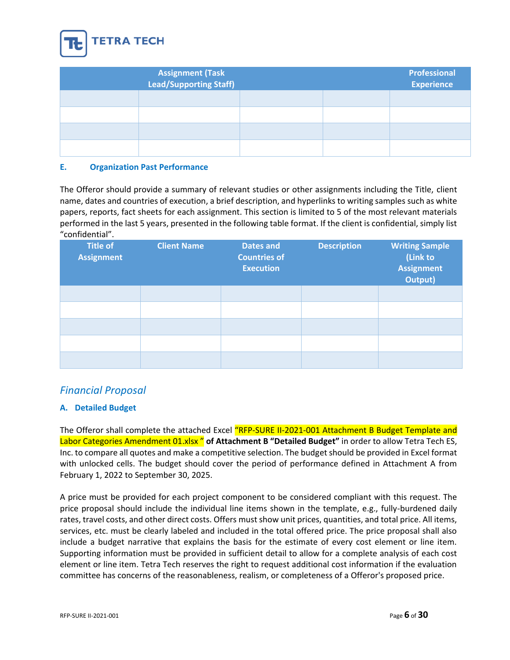

| Assignment (Task<br>Lead/Supporting Staff) |  | Professional<br><b>Experience</b> |
|--------------------------------------------|--|-----------------------------------|
|                                            |  |                                   |
|                                            |  |                                   |
|                                            |  |                                   |
|                                            |  |                                   |

# **E. Organization Past Performance**

The Offeror should provide a summary of relevant studies or other assignments including the Title, client name, dates and countries of execution, a brief description, and hyperlinks to writing samples such as white papers, reports, fact sheets for each assignment. This section is limited to 5 of the most relevant materials performed in the last 5 years, presented in the following table format. If the client is confidential, simply list "confidential".

| <b>Title of</b><br><b>Assignment</b> | <b>Client Name</b> | <b>Dates and</b><br><b>Countries of</b><br><b>Execution</b> | <b>Description</b> | <b>Writing Sample</b><br>(Link to<br><b>Assignment</b><br>Output) |
|--------------------------------------|--------------------|-------------------------------------------------------------|--------------------|-------------------------------------------------------------------|
|                                      |                    |                                                             |                    |                                                                   |
|                                      |                    |                                                             |                    |                                                                   |
|                                      |                    |                                                             |                    |                                                                   |
|                                      |                    |                                                             |                    |                                                                   |
|                                      |                    |                                                             |                    |                                                                   |

# *Financial Proposal*

# **A. Detailed Budget**

The Offeror shall complete the attached Excel "RFP-SURE II-2021-001 Attachment B Budget Template and Labor Categories Amendment 01.xlsx " **of Attachment B "Detailed Budget"** in order to allow Tetra Tech ES, Inc. to compare all quotes and make a competitive selection. The budget should be provided in Excel format with unlocked cells. The budget should cover the period of performance defined in Attachment A from February 1, 2022 to September 30, 2025.

A price must be provided for each project component to be considered compliant with this request. The price proposal should include the individual line items shown in the template, e.g., fully-burdened daily rates, travel costs, and other direct costs. Offers must show unit prices, quantities, and total price. All items, services, etc. must be clearly labeled and included in the total offered price. The price proposal shall also include a budget narrative that explains the basis for the estimate of every cost element or line item. Supporting information must be provided in sufficient detail to allow for a complete analysis of each cost element or line item. Tetra Tech reserves the right to request additional cost information if the evaluation committee has concerns of the reasonableness, realism, or completeness of a Offeror's proposed price.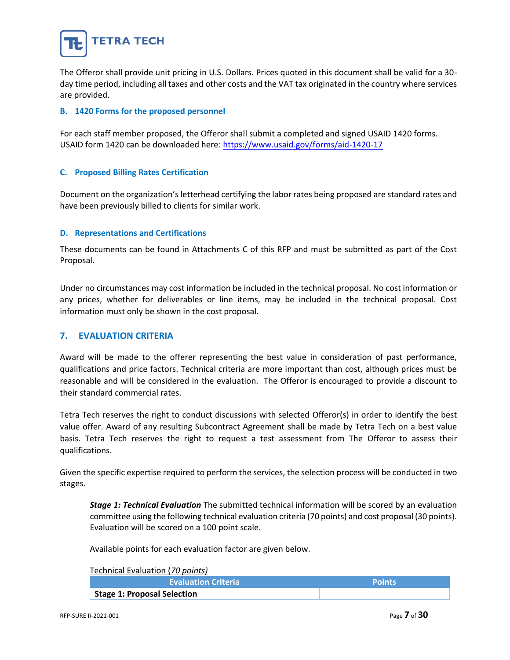

The Offeror shall provide unit pricing in U.S. Dollars. Prices quoted in this document shall be valid for a 30 day time period, including all taxes and other costs and the VAT tax originated in the country where services are provided.

# **B. 1420 Forms for the proposed personnel**

For each staff member proposed, the Offeror shall submit a completed and signed USAID 1420 forms. USAID form 1420 can be downloaded here:<https://www.usaid.gov/forms/aid-1420-17>

# **C. Proposed Billing Rates Certification**

Document on the organization's letterhead certifying the labor rates being proposed are standard rates and have been previously billed to clients for similar work.

# **D. Representations and Certifications**

These documents can be found in Attachments C of this RFP and must be submitted as part of the Cost Proposal.

Under no circumstances may cost information be included in the technical proposal. No cost information or any prices, whether for deliverables or line items, may be included in the technical proposal. Cost information must only be shown in the cost proposal.

# <span id="page-6-0"></span>**7. EVALUATION CRITERIA**

Award will be made to the offerer representing the best value in consideration of past performance, qualifications and price factors. Technical criteria are more important than cost, although prices must be reasonable and will be considered in the evaluation. The Offeror is encouraged to provide a discount to their standard commercial rates.

Tetra Tech reserves the right to conduct discussions with selected Offeror(s) in order to identify the best value offer. Award of any resulting Subcontract Agreement shall be made by Tetra Tech on a best value basis. Tetra Tech reserves the right to request a test assessment from The Offeror to assess their qualifications.

Given the specific expertise required to perform the services, the selection process will be conducted in two stages.

*Stage 1: Technical Evaluation* The submitted technical information will be scored by an evaluation committee using the following technical evaluation criteria (70 points) and cost proposal (30 points). Evaluation will be scored on a 100 point scale.

Available points for each evaluation factor are given below.

Technical Evaluation (*70 points)*

| <b>Evaluation Criteria</b>         | <b>Points</b> |
|------------------------------------|---------------|
| <b>Stage 1: Proposal Selection</b> |               |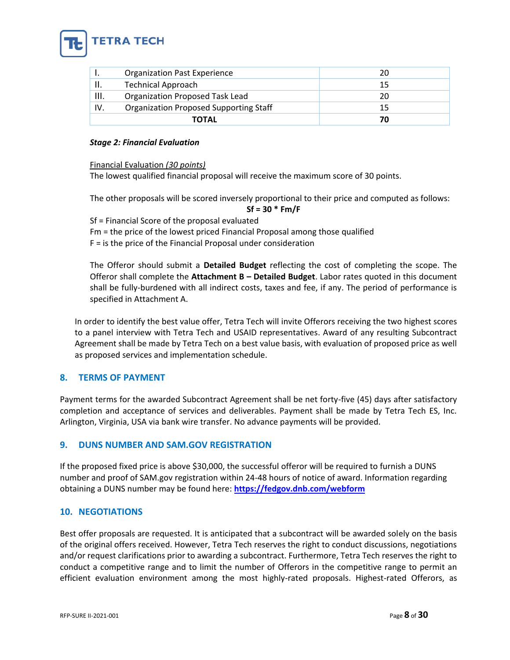

|      | <b>Organization Past Experience</b>           |  |
|------|-----------------------------------------------|--|
|      | <b>Technical Approach</b>                     |  |
| III. | Organization Proposed Task Lead               |  |
| IV.  | <b>Organization Proposed Supporting Staff</b> |  |
|      | ΤΟΤΑL                                         |  |

# *Stage 2: Financial Evaluation*

Financial Evaluation *(30 points)*

The lowest qualified financial proposal will receive the maximum score of 30 points.

The other proposals will be scored inversely proportional to their price and computed as follows:

# **Sf = 30 \* Fm/F**

Sf = Financial Score of the proposal evaluated Fm = the price of the lowest priced Financial Proposal among those qualified F = is the price of the Financial Proposal under consideration

The Offeror should submit a **Detailed Budget** reflecting the cost of completing the scope. The Offeror shall complete the **Attachment B – Detailed Budget**. Labor rates quoted in this document shall be fully-burdened with all indirect costs, taxes and fee, if any. The period of performance is specified in Attachment A.

In order to identify the best value offer, Tetra Tech will invite Offerors receiving the two highest scores to a panel interview with Tetra Tech and USAID representatives. Award of any resulting Subcontract Agreement shall be made by Tetra Tech on a best value basis, with evaluation of proposed price as well as proposed services and implementation schedule.

# <span id="page-7-0"></span>**8. TERMS OF PAYMENT**

Payment terms for the awarded Subcontract Agreement shall be net forty-five (45) days after satisfactory completion and acceptance of services and deliverables. Payment shall be made by Tetra Tech ES, Inc. Arlington, Virginia, USA via bank wire transfer. No advance payments will be provided.

# <span id="page-7-1"></span>**9. DUNS NUMBER AND SAM.GOV REGISTRATION**

If the proposed fixed price is above \$30,000, the successful offeror will be required to furnish a DUNS number and proof of SAM.gov registration within 24-48 hours of notice of award. Information regarding obtaining a DUNS number may be found here: **<https://fedgov.dnb.com/webform>**

# <span id="page-7-2"></span>**10. NEGOTIATIONS**

Best offer proposals are requested. It is anticipated that a subcontract will be awarded solely on the basis of the original offers received. However, Tetra Tech reserves the right to conduct discussions, negotiations and/or request clarifications prior to awarding a subcontract. Furthermore, Tetra Tech reserves the right to conduct a competitive range and to limit the number of Offerors in the competitive range to permit an efficient evaluation environment among the most highly-rated proposals. Highest-rated Offerors, as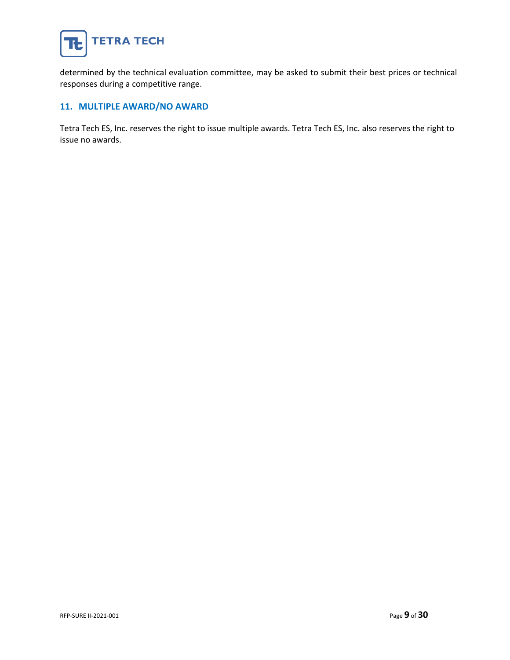

determined by the technical evaluation committee, may be asked to submit their best prices or technical responses during a competitive range.

# <span id="page-8-0"></span>**11. MULTIPLE AWARD/NO AWARD**

Tetra Tech ES, Inc. reserves the right to issue multiple awards. Tetra Tech ES, Inc. also reserves the right to issue no awards.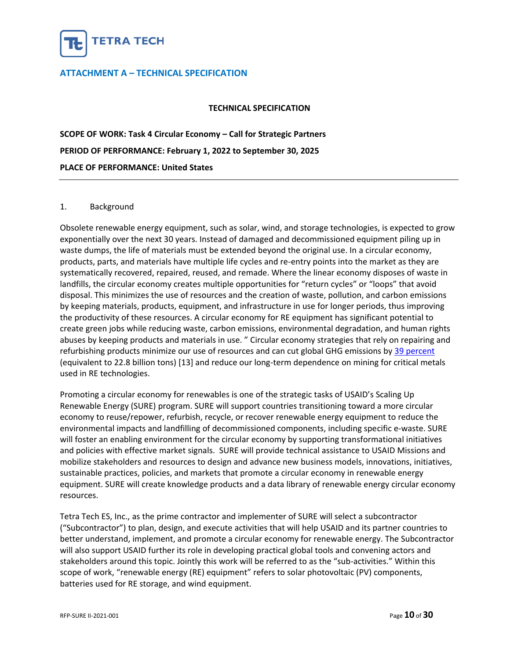

# <span id="page-9-0"></span>**ATTACHMENT A – TECHNICAL SPECIFICATION**

# **TECHNICAL SPECIFICATION**

**SCOPE OF WORK: Task 4 Circular Economy – Call for Strategic Partners PERIOD OF PERFORMANCE: February 1, 2022 to September 30, 2025 PLACE OF PERFORMANCE: United States**

#### 1. Background

Obsolete renewable energy equipment, such as solar, wind, and storage technologies, is expected to grow exponentially over the next 30 years. Instead of damaged and decommissioned equipment piling up in waste dumps, the life of materials must be extended beyond the original use. In a circular economy, products, parts, and materials have multiple life cycles and re-entry points into the market as they are systematically recovered, repaired, reused, and remade. Where the linear economy disposes of waste in landfills, the circular economy creates multiple opportunities for "return cycles" or "loops" that avoid disposal. This minimizes the use of resources and the creation of waste, pollution, and carbon emissions by keeping materials, products, equipment, and infrastructure in use for longer periods, thus improving the productivity of these resources. A circular economy for RE equipment has significant potential to create green jobs while reducing waste, carbon emissions, environmental degradation, and human rights abuses by keeping products and materials in use. " Circular economy strategies that rely on repairing and refurbishing products minimize our use of resources and can cut global GHG emissions by [39 percent](https://www.wri.org/insights/5-opportunities-circular-economy)  (equivalent to 22.8 billion tons) [13] and reduce our long-term dependence on mining for critical metals used in RE technologies.

Promoting a circular economy for renewables is one of the strategic tasks of USAID's Scaling Up Renewable Energy (SURE) program. SURE will support countries transitioning toward a more circular economy to reuse/repower, refurbish, recycle, or recover renewable energy equipment to reduce the environmental impacts and landfilling of decommissioned components, including specific e-waste. SURE will foster an enabling environment for the circular economy by supporting transformational initiatives and policies with effective market signals. SURE will provide technical assistance to USAID Missions and mobilize stakeholders and resources to design and advance new business models, innovations, initiatives, sustainable practices, policies, and markets that promote a circular economy in renewable energy equipment. SURE will create knowledge products and a data library of renewable energy circular economy resources.

Tetra Tech ES, Inc., as the prime contractor and implementer of SURE will select a subcontractor ("Subcontractor") to plan, design, and execute activities that will help USAID and its partner countries to better understand, implement, and promote a circular economy for renewable energy. The Subcontractor will also support USAID further its role in developing practical global tools and convening actors and stakeholders around this topic. Jointly this work will be referred to as the "sub-activities." Within this scope of work, "renewable energy (RE) equipment" refers to solar photovoltaic (PV) components, batteries used for RE storage, and wind equipment.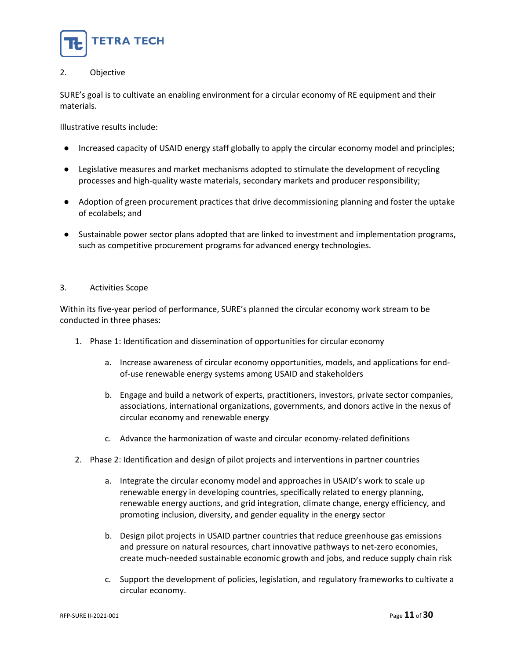

# 2. Objective

SURE's goal is to cultivate an enabling environment for a circular economy of RE equipment and their materials.

Illustrative results include:

- Increased capacity of USAID energy staff globally to apply the circular economy model and principles;
- Legislative measures and market mechanisms adopted to stimulate the development of recycling processes and high-quality waste materials, secondary markets and producer responsibility;
- Adoption of green procurement practices that drive decommissioning planning and foster the uptake of ecolabels; and
- Sustainable power sector plans adopted that are linked to investment and implementation programs, such as competitive procurement programs for advanced energy technologies.

# 3. Activities Scope

Within its five-year period of performance, SURE's planned the circular economy work stream to be conducted in three phases:

- 1. Phase 1: Identification and dissemination of opportunities for circular economy
	- a. Increase awareness of circular economy opportunities, models, and applications for endof-use renewable energy systems among USAID and stakeholders
	- b. Engage and build a network of experts, practitioners, investors, private sector companies, associations, international organizations, governments, and donors active in the nexus of circular economy and renewable energy
	- c. Advance the harmonization of waste and circular economy-related definitions
- 2. Phase 2: Identification and design of pilot projects and interventions in partner countries
	- a. Integrate the circular economy model and approaches in USAID's work to scale up renewable energy in developing countries, specifically related to energy planning, renewable energy auctions, and grid integration, climate change, energy efficiency, and promoting inclusion, diversity, and gender equality in the energy sector
	- b. Design pilot projects in USAID partner countries that reduce greenhouse gas emissions and pressure on natural resources, chart innovative pathways to net-zero economies, create much-needed sustainable economic growth and jobs, and reduce supply chain risk
	- c. Support the development of policies, legislation, and regulatory frameworks to cultivate a circular economy.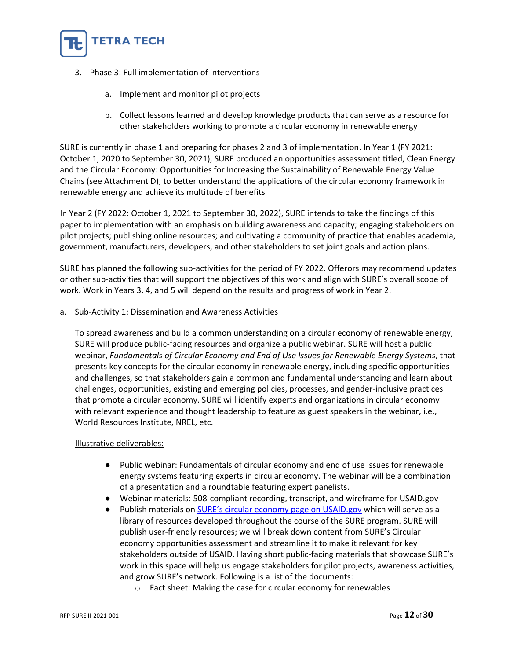

- 3. Phase 3: Full implementation of interventions
	- a. Implement and monitor pilot projects
	- b. Collect lessons learned and develop knowledge products that can serve as a resource for other stakeholders working to promote a circular economy in renewable energy

SURE is currently in phase 1 and preparing for phases 2 and 3 of implementation. In Year 1 (FY 2021: October 1, 2020 to September 30, 2021), SURE produced an opportunities assessment titled, Clean Energy and the Circular Economy: Opportunities for Increasing the Sustainability of Renewable Energy Value Chains (see Attachment D), to better understand the applications of the circular economy framework in renewable energy and achieve its multitude of benefits

In Year 2 (FY 2022: October 1, 2021 to September 30, 2022), SURE intends to take the findings of this paper to implementation with an emphasis on building awareness and capacity; engaging stakeholders on pilot projects; publishing online resources; and cultivating a community of practice that enables academia, government, manufacturers, developers, and other stakeholders to set joint goals and action plans.

SURE has planned the following sub-activities for the period of FY 2022. Offerors may recommend updates or other sub-activities that will support the objectives of this work and align with SURE's overall scope of work. Work in Years 3, 4, and 5 will depend on the results and progress of work in Year 2.

a. Sub-Activity 1: Dissemination and Awareness Activities

To spread awareness and build a common understanding on a circular economy of renewable energy, SURE will produce public-facing resources and organize a public webinar. SURE will host a public webinar, *Fundamentals of Circular Economy and End of Use Issues for Renewable Energy Systems*, that presents key concepts for the circular economy in renewable energy, including specific opportunities and challenges, so that stakeholders gain a common and fundamental understanding and learn about challenges, opportunities, existing and emerging policies, processes, and gender-inclusive practices that promote a circular economy. SURE will identify experts and organizations in circular economy with relevant experience and thought leadership to feature as guest speakers in the webinar, i.e., World Resources Institute, NREL, etc.

# Illustrative deliverables:

- Public webinar: Fundamentals of circular economy and end of use issues for renewable energy systems featuring experts in circular economy. The webinar will be a combination of a presentation and a roundtable featuring expert panelists.
- Webinar materials: 508-compliant recording, transcript, and wireframe for USAID.gov
- Publish materials on [SURE's circular economy page on USAID.gov](https://www.usaid.gov/energy/sure/circular-economy) which will serve as a library of resources developed throughout the course of the SURE program. SURE will publish user-friendly resources; we will break down content from SURE's Circular economy opportunities assessment and streamline it to make it relevant for key stakeholders outside of USAID. Having short public-facing materials that showcase SURE's work in this space will help us engage stakeholders for pilot projects, awareness activities, and grow SURE's network. Following is a list of the documents:
	- o Fact sheet: Making the case for circular economy for renewables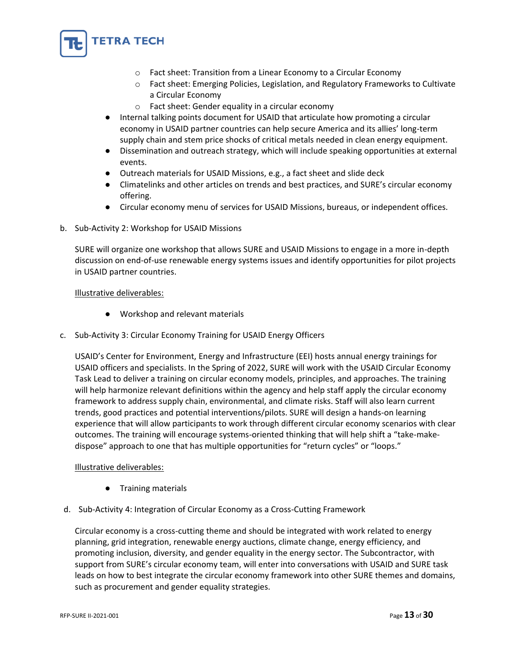

- o Fact sheet: Transition from a Linear Economy to a Circular Economy
- o Fact sheet: Emerging Policies, Legislation, and Regulatory Frameworks to Cultivate a Circular Economy
- o Fact sheet: Gender equality in a circular economy
- Internal talking points document for USAID that articulate how promoting a circular economy in USAID partner countries can help secure America and its allies' long-term supply chain and stem price shocks of critical metals needed in clean energy equipment.
- Dissemination and outreach strategy, which will include speaking opportunities at external events.
- Outreach materials for USAID Missions, e.g., a fact sheet and slide deck
- Climatelinks and other articles on trends and best practices, and SURE's circular economy offering.
- Circular economy menu of services for USAID Missions, bureaus, or independent offices.
- b. Sub-Activity 2: Workshop for USAID Missions

SURE will organize one workshop that allows SURE and USAID Missions to engage in a more in-depth discussion on end-of-use renewable energy systems issues and identify opportunities for pilot projects in USAID partner countries.

# Illustrative deliverables:

- Workshop and relevant materials
- c. Sub-Activity 3: Circular Economy Training for USAID Energy Officers

USAID's Center for Environment, Energy and Infrastructure (EEI) hosts annual energy trainings for USAID officers and specialists. In the Spring of 2022, SURE will work with the USAID Circular Economy Task Lead to deliver a training on circular economy models, principles, and approaches. The training will help harmonize relevant definitions within the agency and help staff apply the circular economy framework to address supply chain, environmental, and climate risks. Staff will also learn current trends, good practices and potential interventions/pilots. SURE will design a hands-on learning experience that will allow participants to work through different circular economy scenarios with clear outcomes. The training will encourage systems-oriented thinking that will help shift a "take-makedispose" approach to one that has multiple opportunities for "return cycles" or "loops."

# Illustrative deliverables:

- Training materials
- d. Sub-Activity 4: Integration of Circular Economy as a Cross-Cutting Framework

Circular economy is a cross-cutting theme and should be integrated with work related to energy planning, grid integration, renewable energy auctions, climate change, energy efficiency, and promoting inclusion, diversity, and gender equality in the energy sector. The Subcontractor, with support from SURE's circular economy team, will enter into conversations with USAID and SURE task leads on how to best integrate the circular economy framework into other SURE themes and domains, such as procurement and gender equality strategies.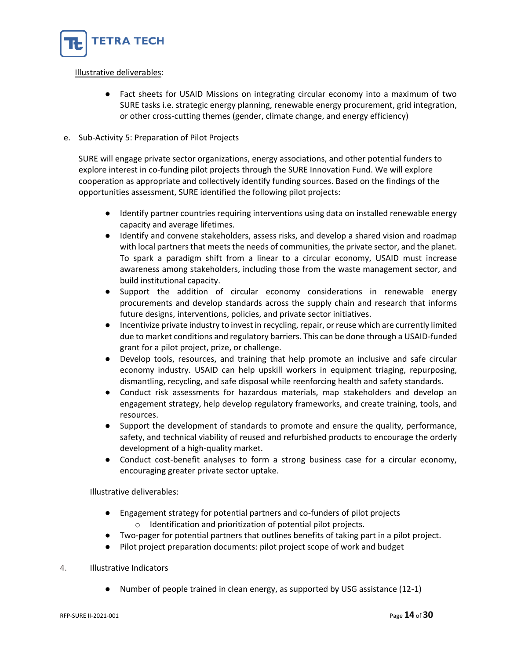

# Illustrative deliverables:

● Fact sheets for USAID Missions on integrating circular economy into a maximum of two SURE tasks i.e. strategic energy planning, renewable energy procurement, grid integration, or other cross-cutting themes (gender, climate change, and energy efficiency)

# e. Sub-Activity 5: Preparation of Pilot Projects

SURE will engage private sector organizations, energy associations, and other potential funders to explore interest in co-funding pilot projects through the SURE Innovation Fund. We will explore cooperation as appropriate and collectively identify funding sources. Based on the findings of the opportunities assessment, SURE identified the following pilot projects:

- Identify partner countries requiring interventions using data on installed renewable energy capacity and average lifetimes.
- Identify and convene stakeholders, assess risks, and develop a shared vision and roadmap with local partners that meets the needs of communities, the private sector, and the planet. To spark a paradigm shift from a linear to a circular economy, USAID must increase awareness among stakeholders, including those from the waste management sector, and build institutional capacity.
- Support the addition of circular economy considerations in renewable energy procurements and develop standards across the supply chain and research that informs future designs, interventions, policies, and private sector initiatives.
- Incentivize private industry to invest in recycling, repair, or reuse which are currently limited due to market conditions and regulatory barriers. This can be done through a USAID-funded grant for a pilot project, prize, or challenge.
- Develop tools, resources, and training that help promote an inclusive and safe circular economy industry. USAID can help upskill workers in equipment triaging, repurposing, dismantling, recycling, and safe disposal while reenforcing health and safety standards.
- Conduct risk assessments for hazardous materials, map stakeholders and develop an engagement strategy, help develop regulatory frameworks, and create training, tools, and resources.
- Support the development of standards to promote and ensure the quality, performance, safety, and technical viability of reused and refurbished products to encourage the orderly development of a high-quality market.
- Conduct cost-benefit analyses to form a strong business case for a circular economy, encouraging greater private sector uptake.

Illustrative deliverables:

- Engagement strategy for potential partners and co-funders of pilot projects o Identification and prioritization of potential pilot projects.
- Two-pager for potential partners that outlines benefits of taking part in a pilot project.
- Pilot project preparation documents: pilot project scope of work and budget

# 4. Illustrative Indicators

● Number of people trained in clean energy, as supported by USG assistance (12-1)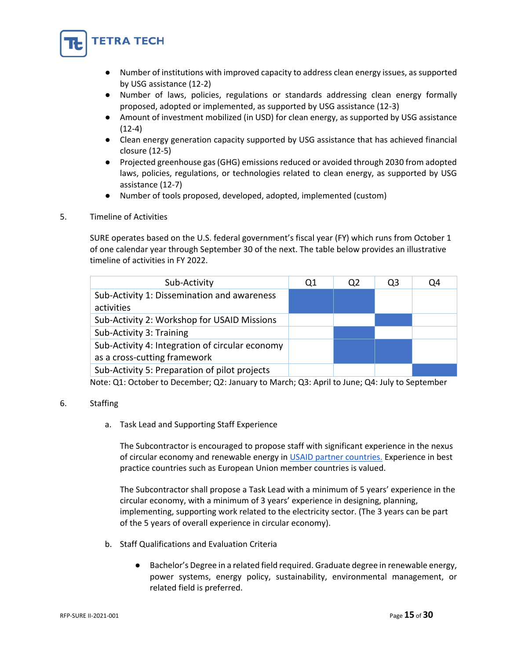

- Number of institutions with improved capacity to address clean energy issues, as supported by USG assistance (12-2)
- Number of laws, policies, regulations or standards addressing clean energy formally proposed, adopted or implemented, as supported by USG assistance (12-3)
- Amount of investment mobilized (in USD) for clean energy, as supported by USG assistance (12-4)
- Clean energy generation capacity supported by USG assistance that has achieved financial closure (12-5)
- Projected greenhouse gas (GHG) emissions reduced or avoided through 2030 from adopted laws, policies, regulations, or technologies related to clean energy, as supported by USG assistance (12-7)
- Number of tools proposed, developed, adopted, implemented (custom)
- 5. Timeline of Activities

SURE operates based on the U.S. federal government's fiscal year (FY) which runs from October 1 of one calendar year through September 30 of the next. The table below provides an illustrative timeline of activities in FY 2022.

| Sub-Activity                                                                    | Q1 | Q <sub>2</sub> | Q3 | Q4 |
|---------------------------------------------------------------------------------|----|----------------|----|----|
| Sub-Activity 1: Dissemination and awareness<br>activities                       |    |                |    |    |
| Sub-Activity 2: Workshop for USAID Missions                                     |    |                |    |    |
| Sub-Activity 3: Training                                                        |    |                |    |    |
| Sub-Activity 4: Integration of circular economy<br>as a cross-cutting framework |    |                |    |    |
| Sub-Activity 5: Preparation of pilot projects                                   |    |                |    |    |

Note: Q1: October to December; Q2: January to March; Q3: April to June; Q4: July to September

# 6. Staffing

a. Task Lead and Supporting Staff Experience

The Subcontractor is encouraged to propose staff with significant experience in the nexus of circular economy and renewable energy in [USAID partner countries.](https://www.usaid.gov/where-we-work) Experience in best practice countries such as European Union member countries is valued.

The Subcontractor shall propose a Task Lead with a minimum of 5 years' experience in the circular economy, with a minimum of 3 years' experience in designing, planning, implementing, supporting work related to the electricity sector. (The 3 years can be part of the 5 years of overall experience in circular economy).

- b. Staff Qualifications and Evaluation Criteria
	- Bachelor's Degree in a related field required. Graduate degree in renewable energy, power systems, energy policy, sustainability, environmental management, or related field is preferred.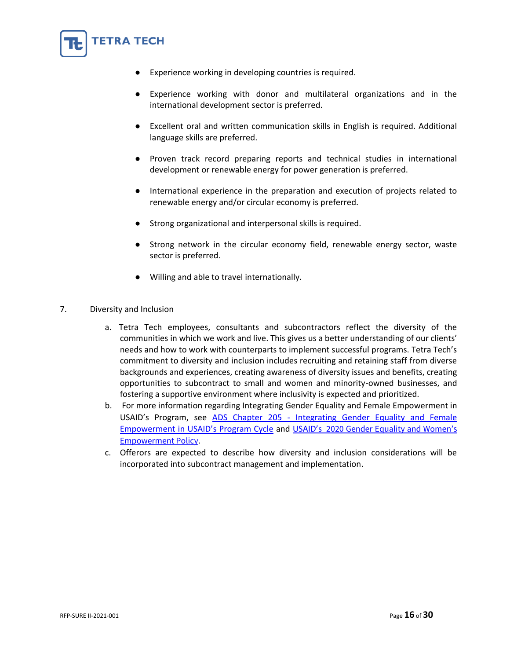

- Experience working with donor and multilateral organizations and in the international development sector is preferred.
- Excellent oral and written communication skills in English is required. Additional language skills are preferred.
- Proven track record preparing reports and technical studies in international development or renewable energy for power generation is preferred.
- International experience in the preparation and execution of projects related to renewable energy and/or circular economy is preferred.
- Strong organizational and interpersonal skills is required.
- Strong network in the circular economy field, renewable energy sector, waste sector is preferred.
- Willing and able to travel internationally.
- 7. Diversity and Inclusion

**FETRA TECH** 

- a. Tetra Tech employees, consultants and subcontractors reflect the diversity of the communities in which we work and live. This gives us a better understanding of our clients' needs and how to work with counterparts to implement successful programs. Tetra Tech's commitment to diversity and inclusion includes recruiting and retaining staff from diverse backgrounds and experiences, creating awareness of diversity issues and benefits, creating opportunities to subcontract to small and women and minority-owned businesses, and fostering a supportive environment where inclusivity is expected and prioritized.
- b. For more information regarding Integrating Gender Equality and Female Empowerment in USAID's Program, see ADS Chapter 205 - [Integrating Gender Equality and Female](https://nam10.safelinks.protection.outlook.com/?url=https%3A%2F%2Fwww.usaid.gov%2Fsites%2Fdefault%2Ffiles%2Fdocuments%2F205.pdf&data=04%7C01%7CJeannelle.Blanchard%40tetratech.com%7C9664362d4efe443c769408d9be4db62d%7Ca40fe4baabc748fe8792b43889936400%7C0%7C0%7C637750063254186426%7CUnknown%7CTWFpbGZsb3d8eyJWIjoiMC4wLjAwMDAiLCJQIjoiV2luMzIiLCJBTiI6Ik1haWwiLCJXVCI6Mn0%3D%7C3000&sdata=T2j5E1gYZrwoMpuiYfRq3mrTe%2FSJZxk6Rkj85zvPq%2BU%3D&reserved=0)  [Empowerment in USAID's Program Cycle](https://nam10.safelinks.protection.outlook.com/?url=https%3A%2F%2Fwww.usaid.gov%2Fsites%2Fdefault%2Ffiles%2Fdocuments%2F205.pdf&data=04%7C01%7CJeannelle.Blanchard%40tetratech.com%7C9664362d4efe443c769408d9be4db62d%7Ca40fe4baabc748fe8792b43889936400%7C0%7C0%7C637750063254186426%7CUnknown%7CTWFpbGZsb3d8eyJWIjoiMC4wLjAwMDAiLCJQIjoiV2luMzIiLCJBTiI6Ik1haWwiLCJXVCI6Mn0%3D%7C3000&sdata=T2j5E1gYZrwoMpuiYfRq3mrTe%2FSJZxk6Rkj85zvPq%2BU%3D&reserved=0) and USAID's [2020 Gender Equality and Women's](https://www.usaid.gov/sites/default/files/documents/USAID_GenderEquality_Policy_MT_WEB_single_508.pdf)  [Empowerment](https://www.usaid.gov/sites/default/files/documents/USAID_GenderEquality_Policy_MT_WEB_single_508.pdf) Policy.
- c. Offerors are expected to describe how diversity and inclusion considerations will be incorporated into subcontract management and implementation.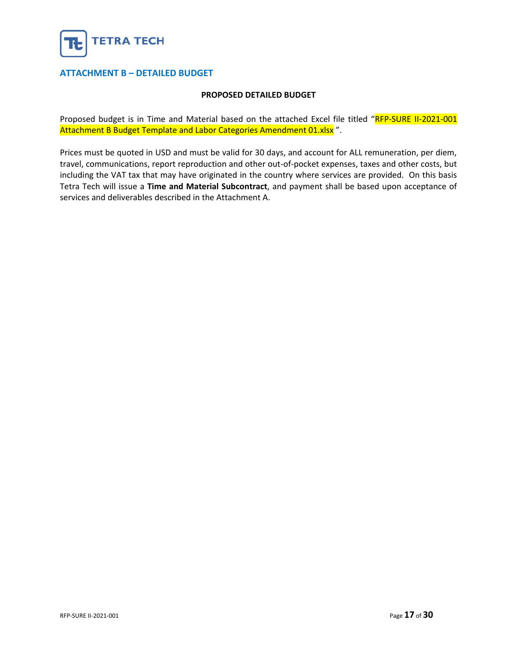

# <span id="page-16-0"></span>**ATTACHMENT B – DETAILED BUDGET**

# **PROPOSED DETAILED BUDGET**

Proposed budget is in Time and Material based on the attached Excel file titled "RFP-SURE II-2021-001 Attachment B Budget Template and Labor Categories Amendment 01.xlsx<sup>"</sup>.

Prices must be quoted in USD and must be valid for 30 days, and account for ALL remuneration, per diem, travel, communications, report reproduction and other out-of-pocket expenses, taxes and other costs, but including the VAT tax that may have originated in the country where services are provided. On this basis Tetra Tech will issue a **Time and Material Subcontract**, and payment shall be based upon acceptance of services and deliverables described in the Attachment A.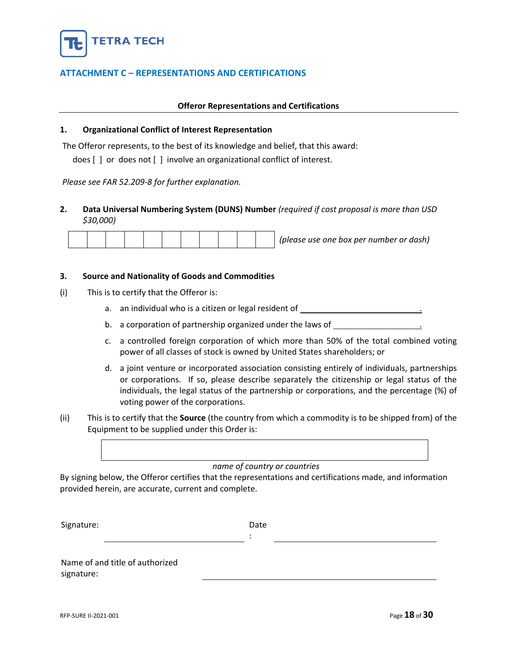

# <span id="page-17-0"></span>**ATTACHMENT C – REPRESENTATIONS AND CERTIFICATIONS**

#### **Offeror Representations and Certifications**

#### **1. Organizational Conflict of Interest Representation**

The Offeror represents, to the best of its knowledge and belief, that this award:

does [ ] or does not [ ] involve an organizational conflict of interest.

*Please see FAR 52.209-8 for further explanation.*

# **2. Data Universal Numbering System (DUNS) Number** *(required if cost proposal is more than USD \$30,000)*

|  |  |  |  |  |  |  |  |  |  |  | (please use one box per number or dash) |
|--|--|--|--|--|--|--|--|--|--|--|-----------------------------------------|
|--|--|--|--|--|--|--|--|--|--|--|-----------------------------------------|

#### **3. Source and Nationality of Goods and Commodities**

- (i) This is to certify that the Offeror is:
	- a. an individual who is a citizen or legal resident of  $\blacksquare$
	- b. a corporation of partnership organized under the laws of
	- c. a controlled foreign corporation of which more than 50% of the total combined voting power of all classes of stock is owned by United States shareholders; or
	- d. a joint venture or incorporated association consisting entirely of individuals, partnerships or corporations. If so, please describe separately the citizenship or legal status of the individuals, the legal status of the partnership or corporations, and the percentage (%) of voting power of the corporations.
- (ii) This is to certify that the **Source** (the country from which a commodity is to be shipped from) of the Equipment to be supplied under this Order is:



# *name of country or countries*

By signing below, the Offeror certifies that the representations and certifications made, and information provided herein, are accurate, current and complete.

Signature: Date Date

:

Name of and title of authorized signature: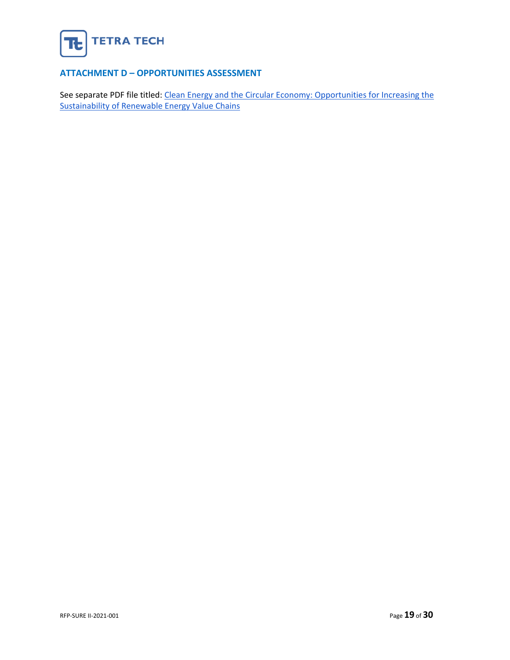

# <span id="page-18-0"></span>**ATTACHMENT D – OPPORTUNITIES ASSESSMENT**

See separate PDF file titled: Clean Energy and the Circular Economy: Opportunities for Increasing the [Sustainability of Renewable Energy Value Chains](https://pdf.usaid.gov/pdf_docs/PA00Z2KF.pdf)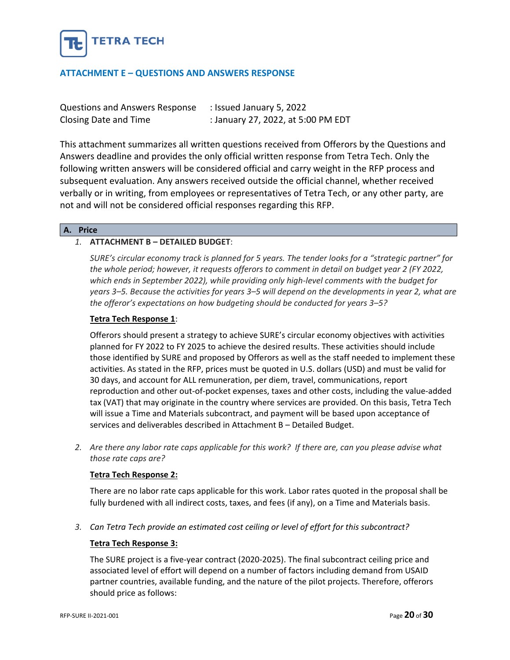

# <span id="page-19-0"></span>**ATTACHMENT E – QUESTIONS AND ANSWERS RESPONSE**

| <b>Questions and Answers Response</b> | : Issued January 5, 2022           |
|---------------------------------------|------------------------------------|
| Closing Date and Time                 | : January 27, 2022, at 5:00 PM EDT |

This attachment summarizes all written questions received from Offerors by the Questions and Answers deadline and provides the only official written response from Tetra Tech. Only the following written answers will be considered official and carry weight in the RFP process and subsequent evaluation. Any answers received outside the official channel, whether received verbally or in writing, from employees or representatives of Tetra Tech, or any other party, are not and will not be considered official responses regarding this RFP.

#### **A. Price**

# *1.* **ATTACHMENT B – DETAILED BUDGET**:

*SURE's circular economy track is planned for 5 years. The tender looks for a "strategic partner" for the whole period; however, it requests offerors to comment in detail on budget year 2 (FY 2022, which ends in September 2022), while providing only high-level comments with the budget for years 3–5. Because the activities for years 3–5 will depend on the developments in year 2, what are the offeror's expectations on how budgeting should be conducted for years 3–5?*

# **Tetra Tech Response 1**:

Offerors should present a strategy to achieve SURE's circular economy objectives with activities planned for FY 2022 to FY 2025 to achieve the desired results. These activities should include those identified by SURE and proposed by Offerors as well as the staff needed to implement these activities. As stated in the RFP, prices must be quoted in U.S. dollars (USD) and must be valid for 30 days, and account for ALL remuneration, per diem, travel, communications, report reproduction and other out-of-pocket expenses, taxes and other costs, including the value-added tax (VAT) that may originate in the country where services are provided. On this basis, Tetra Tech will issue a Time and Materials subcontract, and payment will be based upon acceptance of services and deliverables described in Attachment B – Detailed Budget.

*2. Are there any labor rate caps applicable for this work? If there are, can you please advise what those rate caps are?*

# **Tetra Tech Response 2:**

There are no labor rate caps applicable for this work. Labor rates quoted in the proposal shall be fully burdened with all indirect costs, taxes, and fees (if any), on a Time and Materials basis.

*3. Can Tetra Tech provide an estimated cost ceiling or level of effort for this subcontract?*

# **Tetra Tech Response 3:**

The SURE project is a five-year contract (2020-2025). The final subcontract ceiling price and associated level of effort will depend on a number of factors including demand from USAID partner countries, available funding, and the nature of the pilot projects. Therefore, offerors should price as follows: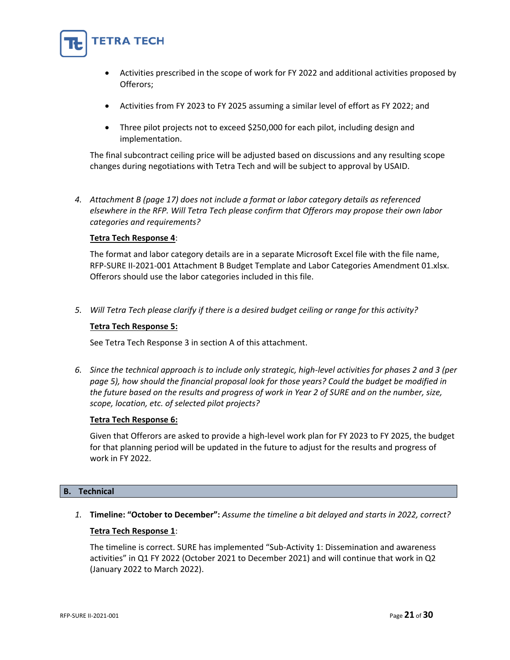

- Activities prescribed in the scope of work for FY 2022 and additional activities proposed by Offerors;
- Activities from FY 2023 to FY 2025 assuming a similar level of effort as FY 2022; and
- Three pilot projects not to exceed \$250,000 for each pilot, including design and implementation.

The final subcontract ceiling price will be adjusted based on discussions and any resulting scope changes during negotiations with Tetra Tech and will be subject to approval by USAID.

*4. Attachment B (page 17) does not include a format or labor category details as referenced elsewhere in the RFP. Will Tetra Tech please confirm that Offerors may propose their own labor categories and requirements?*

# **Tetra Tech Response 4**:

The format and labor category details are in a separate Microsoft Excel file with the file name, RFP-SURE II-2021-001 Attachment B Budget Template and Labor Categories Amendment 01.xlsx. Offerors should use the labor categories included in this file.

*5. Will Tetra Tech please clarify if there is a desired budget ceiling or range for this activity?*

# **Tetra Tech Response 5:**

See Tetra Tech Response 3 in section A of this attachment.

*6. Since the technical approach is to include only strategic, high-level activities for phases 2 and 3 (per page 5), how should the financial proposal look for those years? Could the budget be modified in the future based on the results and progress of work in Year 2 of SURE and on the number, size, scope, location, etc. of selected pilot projects?*

# **Tetra Tech Response 6:**

Given that Offerors are asked to provide a high-level work plan for FY 2023 to FY 2025, the budget for that planning period will be updated in the future to adjust for the results and progress of work in FY 2022.

# **B. Technical**

*1.* **Timeline: "October to December":** *Assume the timeline a bit delayed and starts in 2022, correct?*

# **Tetra Tech Response 1**:

The timeline is correct. SURE has implemented "Sub-Activity 1: Dissemination and awareness activities" in Q1 FY 2022 (October 2021 to December 2021) and will continue that work in Q2 (January 2022 to March 2022).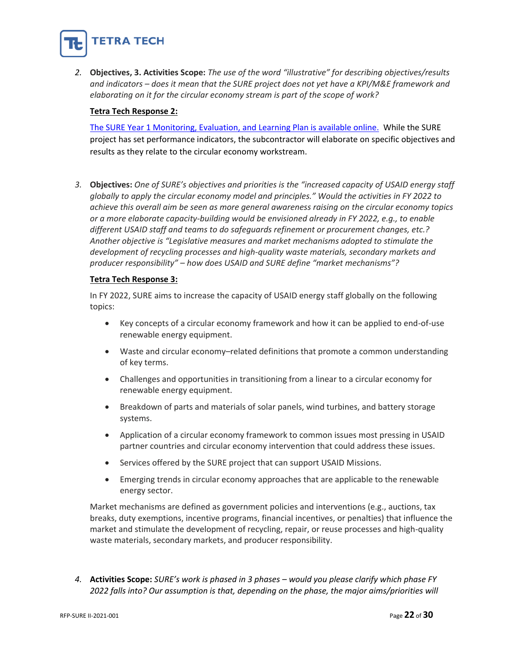

*2.* **Objectives, 3. Activities Scope:** *The use of the word "illustrative" for describing objectives/results and indicators – does it mean that the SURE project does not yet have a KPI/M&E framework and elaborating on it for the circular economy stream is part of the scope of work?*

# **Tetra Tech Response 2:**

[The SURE Year 1 Monitoring, Evaluation, and Learning Plan is available online.](https://pdf.usaid.gov/pdf_docs/PA00X695.pdf) While the SURE project has set performance indicators, the subcontractor will elaborate on specific objectives and results as they relate to the circular economy workstream.

*3.* **Objectives:** *One of SURE's objectives and priorities is the "increased capacity of USAID energy staff globally to apply the circular economy model and principles." Would the activities in FY 2022 to achieve this overall aim be seen as more general awareness raising on the circular economy topics or a more elaborate capacity-building would be envisioned already in FY 2022, e.g., to enable different USAID staff and teams to do safeguards refinement or procurement changes, etc.? Another objective is "Legislative measures and market mechanisms adopted to stimulate the development of recycling processes and high-quality waste materials, secondary markets and producer responsibility" – how does USAID and SURE define "market mechanisms"?*

# **Tetra Tech Response 3:**

In FY 2022, SURE aims to increase the capacity of USAID energy staff globally on the following topics:

- Key concepts of a circular economy framework and how it can be applied to end-of-use renewable energy equipment.
- Waste and circular economy–related definitions that promote a common understanding of key terms.
- Challenges and opportunities in transitioning from a linear to a circular economy for renewable energy equipment.
- Breakdown of parts and materials of solar panels, wind turbines, and battery storage systems.
- Application of a circular economy framework to common issues most pressing in USAID partner countries and circular economy intervention that could address these issues.
- Services offered by the SURE project that can support USAID Missions.
- Emerging trends in circular economy approaches that are applicable to the renewable energy sector.

Market mechanisms are defined as government policies and interventions (e.g., auctions, tax breaks, duty exemptions, incentive programs, financial incentives, or penalties) that influence the market and stimulate the development of recycling, repair, or reuse processes and high-quality waste materials, secondary markets, and producer responsibility.

*4.* **Activities Scope:** *SURE's work is phased in 3 phases – would you please clarify which phase FY 2022 falls into? Our assumption is that, depending on the phase, the major aims/priorities will*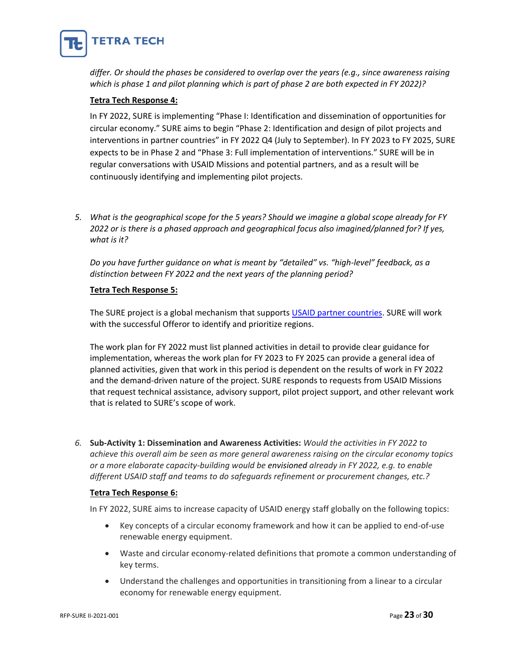

*differ. Or should the phases be considered to overlap over the years (e.g., since awareness raising which is phase 1 and pilot planning which is part of phase 2 are both expected in FY 2022)?* 

# **Tetra Tech Response 4:**

In FY 2022, SURE is implementing "Phase I: Identification and dissemination of opportunities for circular economy." SURE aims to begin "Phase 2: Identification and design of pilot projects and interventions in partner countries" in FY 2022 Q4 (July to September). In FY 2023 to FY 2025, SURE expects to be in Phase 2 and "Phase 3: Full implementation of interventions." SURE will be in regular conversations with USAID Missions and potential partners, and as a result will be continuously identifying and implementing pilot projects.

*5. What is the geographical scope for the 5 years? Should we imagine a global scope already for FY 2022 or is there is a phased approach and geographical focus also imagined/planned for? If yes, what is it?* 

*Do you have further guidance on what is meant by "detailed" vs. "high-level" feedback, as a distinction between FY 2022 and the next years of the planning period?*

# **Tetra Tech Response 5:**

The SURE project is a global mechanism that supports [USAID partner countries.](https://www.usaid.gov/where-we-work) SURE will work with the successful Offeror to identify and prioritize regions.

The work plan for FY 2022 must list planned activities in detail to provide clear guidance for implementation, whereas the work plan for FY 2023 to FY 2025 can provide a general idea of planned activities, given that work in this period is dependent on the results of work in FY 2022 and the demand-driven nature of the project. SURE responds to requests from USAID Missions that request technical assistance, advisory support, pilot project support, and other relevant work that is related to SURE's scope of work.

*6.* **Sub-Activity 1: Dissemination and Awareness Activities:** *Would the activities in FY 2022 to achieve this overall aim be seen as more general awareness raising on the circular economy topics or a more elaborate capacity-building would be envisioned already in FY 2022, e.g. to enable different USAID staff and teams to do safeguards refinement or procurement changes, etc.?*

# **Tetra Tech Response 6:**

In FY 2022, SURE aims to increase capacity of USAID energy staff globally on the following topics:

- Key concepts of a circular economy framework and how it can be applied to end-of-use renewable energy equipment.
- Waste and circular economy-related definitions that promote a common understanding of key terms.
- Understand the challenges and opportunities in transitioning from a linear to a circular economy for renewable energy equipment.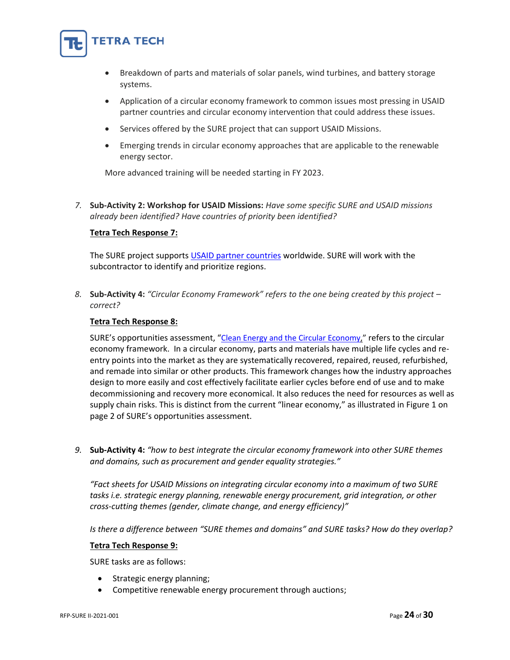

- Breakdown of parts and materials of solar panels, wind turbines, and battery storage systems.
- Application of a circular economy framework to common issues most pressing in USAID partner countries and circular economy intervention that could address these issues.
- Services offered by the SURE project that can support USAID Missions.
- Emerging trends in circular economy approaches that are applicable to the renewable energy sector.

More advanced training will be needed starting in FY 2023.

*7.* **Sub-Activity 2: Workshop for USAID Missions:** *Have some specific SURE and USAID missions already been identified? Have countries of priority been identified?*

# **Tetra Tech Response 7:**

The SURE project supports [USAID partner countries](https://www.usaid.gov/where-we-work) worldwide. SURE will work with the subcontractor to identify and prioritize regions.

*8.* **Sub-Activity 4:** *"Circular Economy Framework" refers to the one being created by this project – correct?*

# **Tetra Tech Response 8:**

SURE's opportunities assessment, "[Clean Energy and the Circular Economy,](https://pdf.usaid.gov/pdf_docs/PA00Z2KF.pdf)" refers to the circular economy framework. In a circular economy, parts and materials have multiple life cycles and reentry points into the market as they are systematically recovered, repaired, reused, refurbished, and remade into similar or other products. This framework changes how the industry approaches design to more easily and cost effectively facilitate earlier cycles before end of use and to make decommissioning and recovery more economical. It also reduces the need for resources as well as supply chain risks. This is distinct from the current "linear economy," as illustrated in Figure 1 on page 2 of SURE's opportunities assessment.

*9.* **Sub-Activity 4:** *"how to best integrate the circular economy framework into other SURE themes and domains, such as procurement and gender equality strategies."*

*"Fact sheets for USAID Missions on integrating circular economy into a maximum of two SURE tasks i.e. strategic energy planning, renewable energy procurement, grid integration, or other cross-cutting themes (gender, climate change, and energy efficiency)"*

*Is there a difference between "SURE themes and domains" and SURE tasks? How do they overlap?*

# **Tetra Tech Response 9:**

SURE tasks are as follows:

- Strategic energy planning;
- Competitive renewable energy procurement through auctions;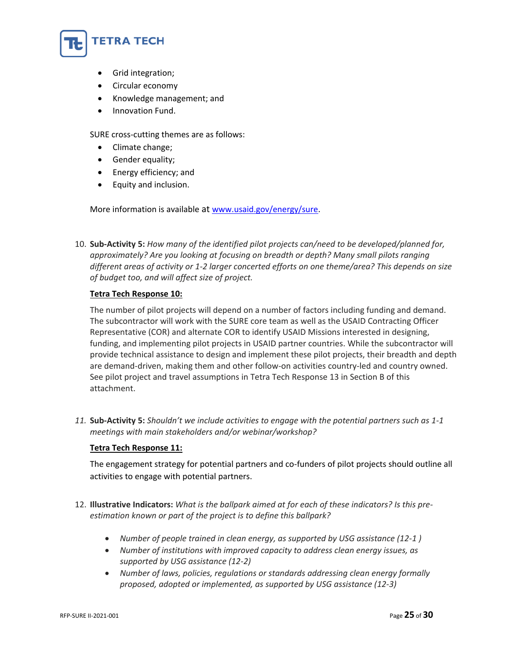

- Grid integration;
- Circular economy
- Knowledge management; and
- Innovation Fund.

SURE cross-cutting themes are as follows:

- Climate change;
- Gender equality;
- Energy efficiency; and
- Equity and inclusion.

More information is available at [www.usaid.gov/energy/sure.](http://www.usaid.gov/energy/sure)

10. **Sub-Activity 5:** *How many of the identified pilot projects can/need to be developed/planned for, approximately? Are you looking at focusing on breadth or depth? Many small pilots ranging different areas of activity or 1-2 larger concerted efforts on one theme/area? This depends on size of budget too, and will affect size of project.*

# **Tetra Tech Response 10:**

The number of pilot projects will depend on a number of factors including funding and demand. The subcontractor will work with the SURE core team as well as the USAID Contracting Officer Representative (COR) and alternate COR to identify USAID Missions interested in designing, funding, and implementing pilot projects in USAID partner countries. While the subcontractor will provide technical assistance to design and implement these pilot projects, their breadth and depth are demand-driven, making them and other follow-on activities country-led and country owned. See pilot project and travel assumptions in Tetra Tech Response 13 in Section B of this attachment.

*11.* **Sub-Activity 5:** *Shouldn't we include activities to engage with the potential partners such as 1-1 meetings with main stakeholders and/or webinar/workshop?*

# **Tetra Tech Response 11:**

The engagement strategy for potential partners and co-funders of pilot projects should outline all activities to engage with potential partners.

- 12. **Illustrative Indicators:** *What is the ballpark aimed at for each of these indicators? Is this preestimation known or part of the project is to define this ballpark?*
	- *Number of people trained in clean energy, as supported by USG assistance (12-1 )*
	- *Number of institutions with improved capacity to address clean energy issues, as supported by USG assistance (12-2)*
	- *Number of laws, policies, regulations or standards addressing clean energy formally proposed, adopted or implemented, as supported by USG assistance (12-3)*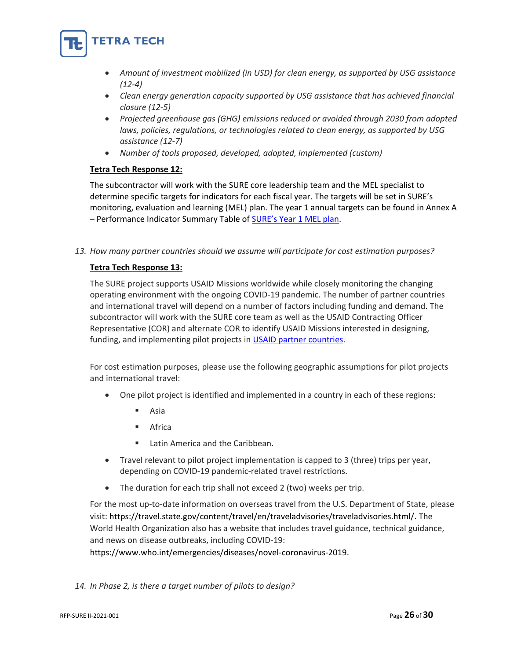

- *Amount of investment mobilized (in USD) for clean energy, as supported by USG assistance (12-4)*
- *Clean energy generation capacity supported by USG assistance that has achieved financial closure (12-5)*
- *Projected greenhouse gas (GHG) emissions reduced or avoided through 2030 from adopted laws, policies, regulations, or technologies related to clean energy, as supported by USG assistance (12-7)*
- *Number of tools proposed, developed, adopted, implemented (custom)*

# **Tetra Tech Response 12:**

The subcontractor will work with the SURE core leadership team and the MEL specialist to determine specific targets for indicators for each fiscal year. The targets will be set in SURE's monitoring, evaluation and learning (MEL) plan. The year 1 annual targets can be found in Annex A - Performance Indicator Summary Table of **[SURE's Year 1 MEL plan](https://pdf.usaid.gov/pdf_docs/PA00X695.pdf)**.

*13. How many partner countries should we assume will participate for cost estimation purposes?*

# **Tetra Tech Response 13:**

The SURE project supports USAID Missions worldwide while closely monitoring the changing operating environment with the ongoing COVID-19 pandemic. The number of partner countries and international travel will depend on a number of factors including funding and demand. The subcontractor will work with the SURE core team as well as the USAID Contracting Officer Representative (COR) and alternate COR to identify USAID Missions interested in designing, funding, and implementing pilot projects i[n USAID partner countries.](https://www.usaid.gov/where-we-work)

For cost estimation purposes, please use the following geographic assumptions for pilot projects and international travel:

- One pilot project is identified and implemented in a country in each of these regions:
	- Asia
	- **Africa**
	- Latin America and the Caribbean.
- Travel relevant to pilot project implementation is capped to 3 (three) trips per year, depending on COVID-19 pandemic-related travel restrictions.
- The duration for each trip shall not exceed 2 (two) weeks per trip.

For the most up-to-date information on overseas travel from the U.S. Department of State, please visit: [https://travel.state.gov/content/travel/en/traveladvisories/traveladvisories.html/.](https://travel.state.gov/content/travel/en/traveladvisories/traveladvisories.html/) The World Health Organization also has a website that includes travel guidance, technical guidance, and news on disease outbreaks, including COVID-19:

[https://www.who.int/emergencies/diseases/novel-coronavirus-2019.](https://www.who.int/emergencies/diseases/novel-coronavirus-2019)

*14. In Phase 2, is there a target number of pilots to design?*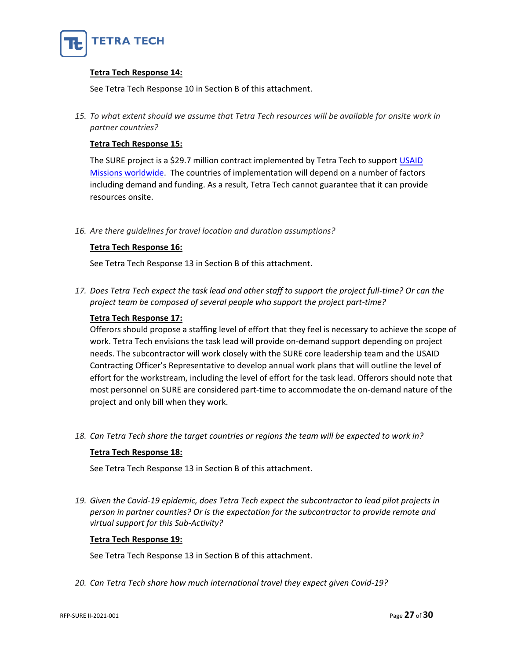

# **Tetra Tech Response 14:**

See Tetra Tech Response 10 in Section B of this attachment.

*15. To what extent should we assume that Tetra Tech resources will be available for onsite work in partner countries?*

# **Tetra Tech Response 15:**

The SURE project is a \$29.7 million contract implemented by Tetra Tech to support USAID [Missions worldwide.](https://www.usaid.gov/where-we-work) The countries of implementation will depend on a number of factors including demand and funding. As a result, Tetra Tech cannot guarantee that it can provide resources onsite.

*16. Are there guidelines for travel location and duration assumptions?*

# **Tetra Tech Response 16:**

See Tetra Tech Response 13 in Section B of this attachment.

*17. Does Tetra Tech expect the task lead and other staff to support the project full-time? Or can the project team be composed of several people who support the project part-time?*

# **Tetra Tech Response 17:**

Offerors should propose a staffing level of effort that they feel is necessary to achieve the scope of work. Tetra Tech envisions the task lead will provide on-demand support depending on project needs. The subcontractor will work closely with the SURE core leadership team and the USAID Contracting Officer's Representative to develop annual work plans that will outline the level of effort for the workstream, including the level of effort for the task lead. Offerors should note that most personnel on SURE are considered part-time to accommodate the on-demand nature of the project and only bill when they work.

*18. Can Tetra Tech share the target countries or regions the team will be expected to work in?*

# **Tetra Tech Response 18:**

See Tetra Tech Response 13 in Section B of this attachment.

*19. Given the Covid-19 epidemic, does Tetra Tech expect the subcontractor to lead pilot projects in person in partner counties? Or is the expectation for the subcontractor to provide remote and virtual support for this Sub-Activity?*

# **Tetra Tech Response 19:**

See Tetra Tech Response 13 in Section B of this attachment.

*20. Can Tetra Tech share how much international travel they expect given Covid-19?*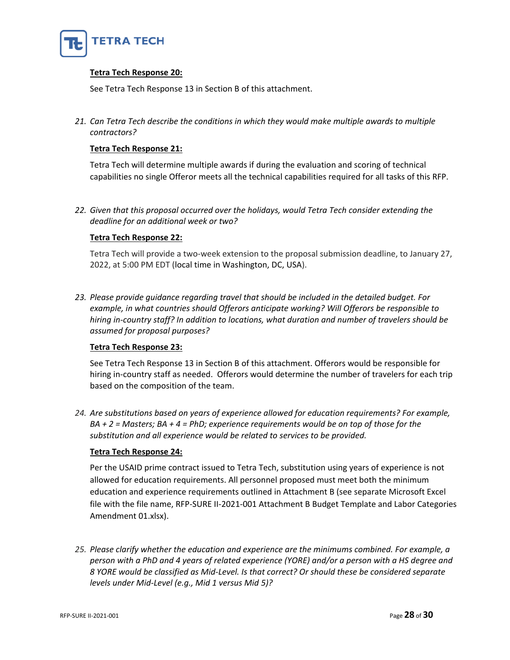

# **Tetra Tech Response 20:**

See Tetra Tech Response 13 in Section B of this attachment.

*21. Can Tetra Tech describe the conditions in which they would make multiple awards to multiple contractors?* 

# **Tetra Tech Response 21:**

Tetra Tech will determine multiple awards if during the evaluation and scoring of technical capabilities no single Offeror meets all the technical capabilities required for all tasks of this RFP.

*22. Given that this proposal occurred over the holidays, would Tetra Tech consider extending the deadline for an additional week or two?*

# **Tetra Tech Response 22:**

Tetra Tech will provide a two-week extension to the proposal submission deadline, to January 27, 2022, at 5:00 PM EDT (local time in Washington, DC, USA).

*23. Please provide guidance regarding travel that should be included in the detailed budget. For example, in what countries should Offerors anticipate working? Will Offerors be responsible to hiring in-country staff? In addition to locations, what duration and number of travelers should be assumed for proposal purposes?*

# **Tetra Tech Response 23:**

See Tetra Tech Response 13 in Section B of this attachment. Offerors would be responsible for hiring in-country staff as needed. Offerors would determine the number of travelers for each trip based on the composition of the team.

*24. Are substitutions based on years of experience allowed for education requirements? For example, BA + 2 = Masters; BA + 4 = PhD; experience requirements would be on top of those for the substitution and all experience would be related to services to be provided.* 

# **Tetra Tech Response 24:**

Per the USAID prime contract issued to Tetra Tech, substitution using years of experience is not allowed for education requirements. All personnel proposed must meet both the minimum education and experience requirements outlined in Attachment B (see separate Microsoft Excel file with the file name, RFP-SURE II-2021-001 Attachment B Budget Template and Labor Categories Amendment 01.xlsx).

*25. Please clarify whether the education and experience are the minimums combined. For example, a person with a PhD and 4 years of related experience (YORE) and/or a person with a HS degree and 8 YORE would be classified as Mid-Level. Is that correct? Or should these be considered separate levels under Mid-Level (e.g., Mid 1 versus Mid 5)?*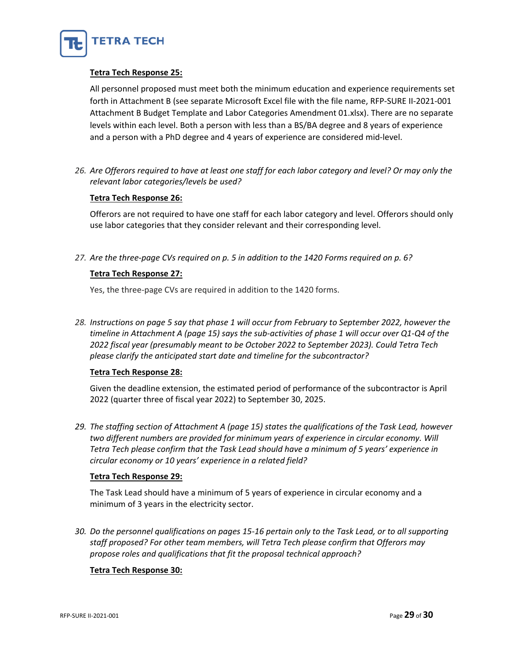

# **Tetra Tech Response 25:**

All personnel proposed must meet both the minimum education and experience requirements set forth in Attachment B (see separate Microsoft Excel file with the file name, RFP-SURE II-2021-001 Attachment B Budget Template and Labor Categories Amendment 01.xlsx). There are no separate levels within each level. Both a person with less than a BS/BA degree and 8 years of experience and a person with a PhD degree and 4 years of experience are considered mid-level.

*26. Are Offerors required to have at least one staff for each labor category and level? Or may only the relevant labor categories/levels be used?*

# **Tetra Tech Response 26:**

Offerors are not required to have one staff for each labor category and level. Offerors should only use labor categories that they consider relevant and their corresponding level.

*27. Are the three-page CVs required on p. 5 in addition to the 1420 Forms required on p. 6?*

# **Tetra Tech Response 27:**

Yes, the three-page CVs are required in addition to the 1420 forms.

*28. Instructions on page 5 say that phase 1 will occur from February to September 2022, however the timeline in Attachment A (page 15) says the sub-activities of phase 1 will occur over Q1-Q4 of the 2022 fiscal year (presumably meant to be October 2022 to September 2023). Could Tetra Tech please clarify the anticipated start date and timeline for the subcontractor?*

# **Tetra Tech Response 28:**

Given the deadline extension, the estimated period of performance of the subcontractor is April 2022 (quarter three of fiscal year 2022) to September 30, 2025.

*29. The staffing section of Attachment A (page 15) states the qualifications of the Task Lead, however two different numbers are provided for minimum years of experience in circular economy. Will Tetra Tech please confirm that the Task Lead should have a minimum of 5 years' experience in circular economy or 10 years' experience in a related field?*

# **Tetra Tech Response 29:**

The Task Lead should have a minimum of 5 years of experience in circular economy and a minimum of 3 years in the electricity sector.

*30. Do the personnel qualifications on pages 15-16 pertain only to the Task Lead, or to all supporting staff proposed? For other team members, will Tetra Tech please confirm that Offerors may propose roles and qualifications that fit the proposal technical approach?*

# **Tetra Tech Response 30:**